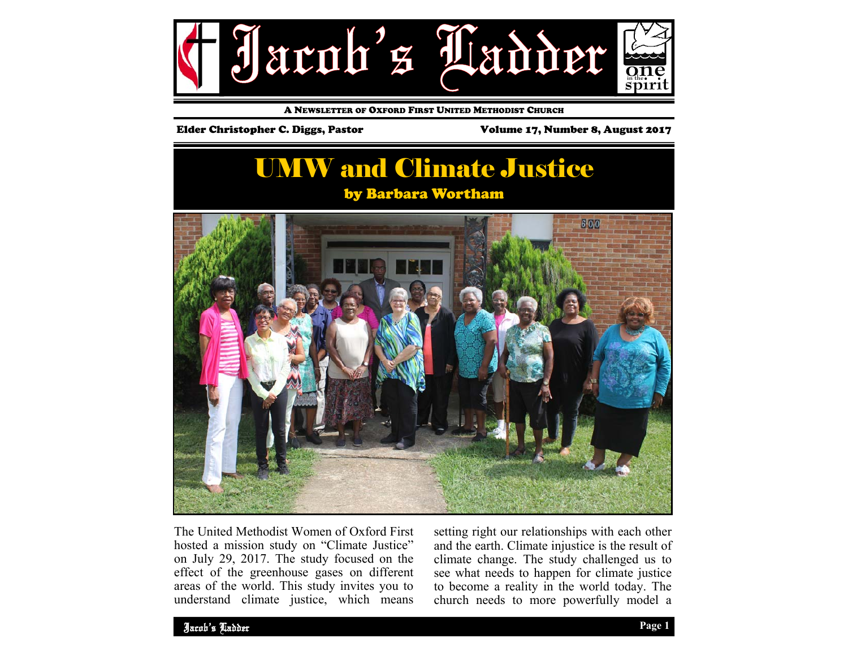

A NEWSLETTER OF OXFORD FIRST UNITED METHODIST CHURCH

#### Elder Christopher C. Diggs, Pastor Volume 17, Number 8, August 2017

## UMW and Climate Justice by Barbara Wortham



The United Methodist Women of Oxford First hosted a mission study on "Climate Justice" on July 29, 2017. The study focused on the effect of the greenhouse gases on different areas of the world. This study invites you to understand climate justice, which means

setting right our relationships with each other and the earth. Climate injustice is the result of climate change. The study challenged us to see what needs to happen for climate justice to become a reality in the world today. The church needs to more powerfully model a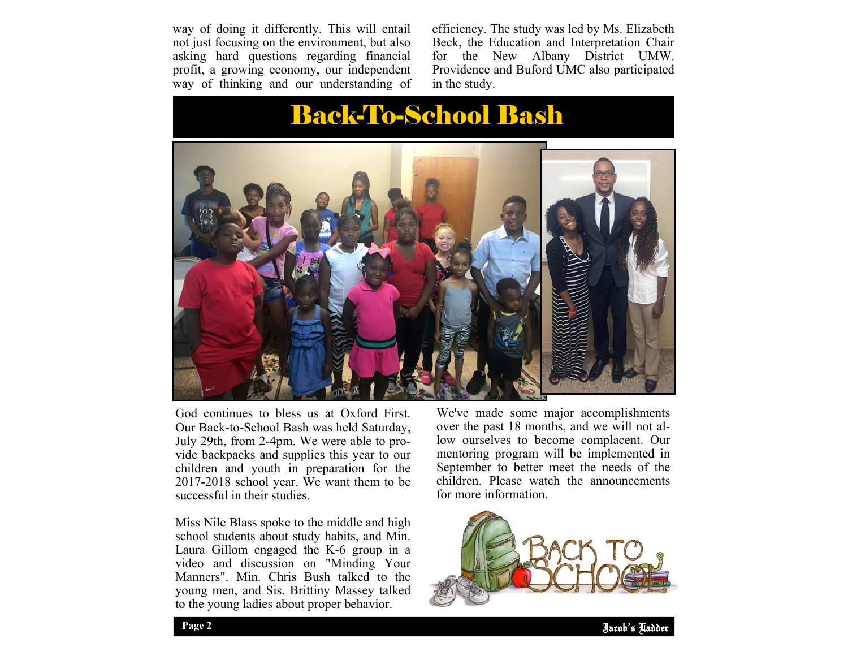way of doing it differently. This will entail not just focusing on the environment, but also asking hard questions regarding financial profit, a growing economy, our independent way of thinking and our understanding of efficiency. The study was led by Ms. Elizabeth Beck, the Education and Interpretation Chair<br>for the New Albany District UMW. for the New Albany District UMW. Providence and Buford UMC also participated in the study.

# Back-To-School Bash



God continues to bless us at Oxford First. Our Back-to-School Bash was held Saturday, July 29th, from 2-4pm. We were able to provide backpacks and supplies this year to our children and youth in preparation for the 2017-2018 school year. We want them to be successful in their studies.

Miss Nile Blass spoke to the middle and high school students about study habits, and Min. Laura Gillom engaged the K-6 group in a video and discussion on "Minding Your Manners". Min. Chris Bush talked to the young men, and Sis. Brittiny Massey talked to the young ladies about proper behavior.

We've made some major accomplishments over the past 18 months, and we will not allow ourselves to become complacent. Our mentoring program will be implemented in September to better meet the needs of the children. Please watch the announcements for more information.

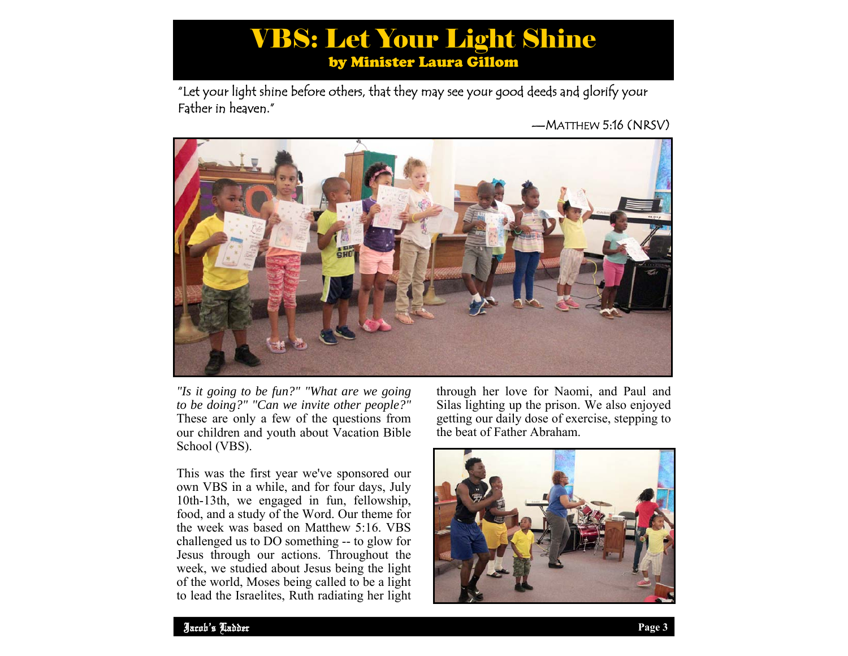## VBS: Let Your Light Shine by Minister Laura Gillom

"Let your light shine before others, that they may see your good deeds and glorify your Father in heaven."

—MATTHEW 5:16 (NRSV)



*"Is it going to be fun?" "What are we going to be doing?" "Can we invite other people?"*  These are only a few of the questions from our children and youth about Vacation Bible School (VBS).

This was the first year we've sponsored our own VBS in a while, and for four days, July 10th-13th, we engaged in fun, fellowship, food, and a study of the Word. Our theme for the week was based on Matthew 5:16. VBS challenged us to DO something -- to glow for Jesus through our actions. Throughout the week, we studied about Jesus being the light of the world, Moses being called to be a light to lead the Israelites, Ruth radiating her light

through her love for Naomi, and Paul and Silas lighting up the prison. We also enjoyed getting our daily dose of exercise, stepping to the beat of Father Abraham.